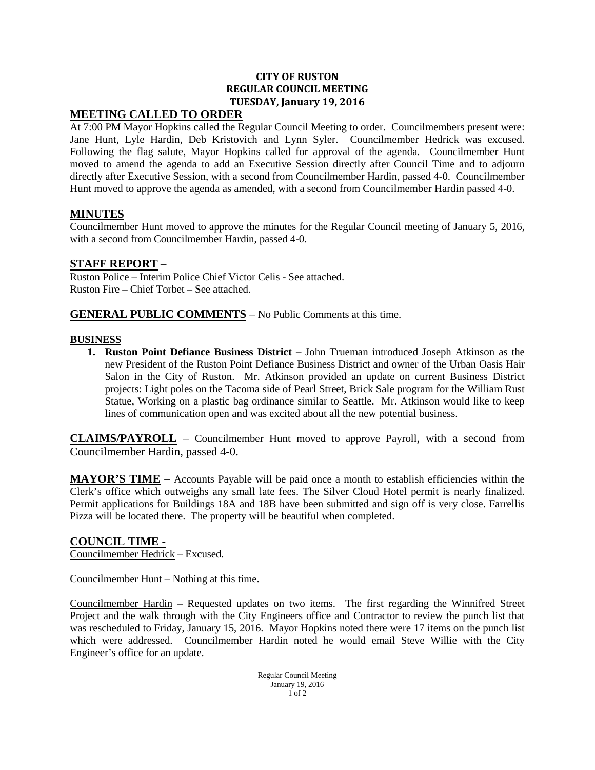#### **CITY OF RUSTON REGULAR COUNCIL MEETING TUESDAY, January 19, 2016**

### **MEETING CALLED TO ORDER**

At 7:00 PM Mayor Hopkins called the Regular Council Meeting to order. Councilmembers present were: Jane Hunt, Lyle Hardin, Deb Kristovich and Lynn Syler. Councilmember Hedrick was excused. Following the flag salute, Mayor Hopkins called for approval of the agenda. Councilmember Hunt moved to amend the agenda to add an Executive Session directly after Council Time and to adjourn directly after Executive Session, with a second from Councilmember Hardin, passed 4-0. Councilmember Hunt moved to approve the agenda as amended, with a second from Councilmember Hardin passed 4-0.

#### **MINUTES**

Councilmember Hunt moved to approve the minutes for the Regular Council meeting of January 5, 2016, with a second from Councilmember Hardin, passed 4-0.

#### **STAFF REPORT** –

Ruston Police – Interim Police Chief Victor Celis - See attached. Ruston Fire – Chief Torbet – See attached.

**GENERAL PUBLIC COMMENTS** – No Public Comments at this time.

#### **BUSINESS**

**1. Ruston Point Defiance Business District –** John Trueman introduced Joseph Atkinson as the new President of the Ruston Point Defiance Business District and owner of the Urban Oasis Hair Salon in the City of Ruston. Mr. Atkinson provided an update on current Business District projects: Light poles on the Tacoma side of Pearl Street, Brick Sale program for the William Rust Statue, Working on a plastic bag ordinance similar to Seattle. Mr. Atkinson would like to keep lines of communication open and was excited about all the new potential business.

**CLAIMS/PAYROLL** – Councilmember Hunt moved to approve Payroll, with a second from Councilmember Hardin, passed 4-0.

**MAYOR'S TIME** – Accounts Payable will be paid once a month to establish efficiencies within the Clerk's office which outweighs any small late fees. The Silver Cloud Hotel permit is nearly finalized. Permit applications for Buildings 18A and 18B have been submitted and sign off is very close. Farrellis Pizza will be located there. The property will be beautiful when completed.

#### **COUNCIL TIME -**

Councilmember Hedrick – Excused.

Councilmember Hunt – Nothing at this time.

Councilmember Hardin – Requested updates on two items. The first regarding the Winnifred Street Project and the walk through with the City Engineers office and Contractor to review the punch list that was rescheduled to Friday, January 15, 2016. Mayor Hopkins noted there were 17 items on the punch list which were addressed. Councilmember Hardin noted he would email Steve Willie with the City Engineer's office for an update.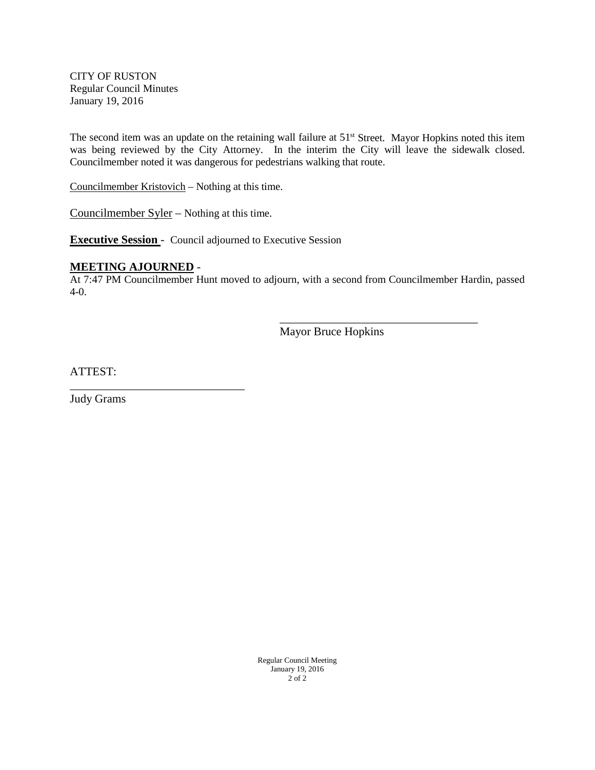CITY OF RUSTON Regular Council Minutes January 19, 2016

The second item was an update on the retaining wall failure at 51<sup>st</sup> Street. Mayor Hopkins noted this item was being reviewed by the City Attorney. In the interim the City will leave the sidewalk closed. Councilmember noted it was dangerous for pedestrians walking that route.

Councilmember Kristovich – Nothing at this time.

Councilmember Syler – Nothing at this time.

**Executive Session** - Council adjourned to Executive Session

#### **MEETING AJOURNED** -

\_\_\_\_\_\_\_\_\_\_\_\_\_\_\_\_\_\_\_\_\_\_\_\_\_\_\_\_\_\_

At 7:47 PM Councilmember Hunt moved to adjourn, with a second from Councilmember Hardin, passed 4-0.

Mayor Bruce Hopkins

\_\_\_\_\_\_\_\_\_\_\_\_\_\_\_\_\_\_\_\_\_\_\_\_\_\_\_\_\_\_\_\_\_\_

ATTEST:

Judy Grams

Regular Council Meeting January 19, 2016 2 of 2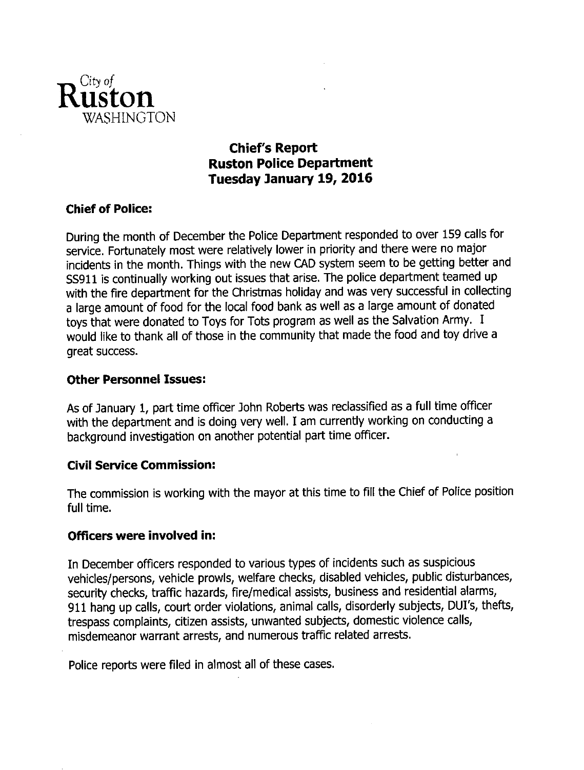

# **Chief's Report Ruston Police Department** Tuesday January 19, 2016

# **Chief of Police:**

During the month of December the Police Department responded to over 159 calls for service. Fortunately most were relatively lower in priority and there were no major incidents in the month. Things with the new CAD system seem to be getting better and SS911 is continually working out issues that arise. The police department teamed up with the fire department for the Christmas holiday and was very successful in collecting a large amount of food for the local food bank as well as a large amount of donated toys that were donated to Toys for Tots program as well as the Salvation Army. I would like to thank all of those in the community that made the food and toy drive a great success.

### **Other Personnel Issues:**

As of January 1, part time officer John Roberts was reclassified as a full time officer with the department and is doing very well. I am currently working on conducting a background investigation on another potential part time officer.

### **Civil Service Commission:**

The commission is working with the mayor at this time to fill the Chief of Police position full time.

### Officers were involved in:

In December officers responded to various types of incidents such as suspicious vehicles/persons, vehicle prowls, welfare checks, disabled vehicles, public disturbances, security checks, traffic hazards, fire/medical assists, business and residential alarms, 911 hang up calls, court order violations, animal calls, disorderly subjects, DUI's, thefts, trespass complaints, citizen assists, unwanted subjects, domestic violence calls, misdemeanor warrant arrests, and numerous traffic related arrests.

Police reports were filed in almost all of these cases.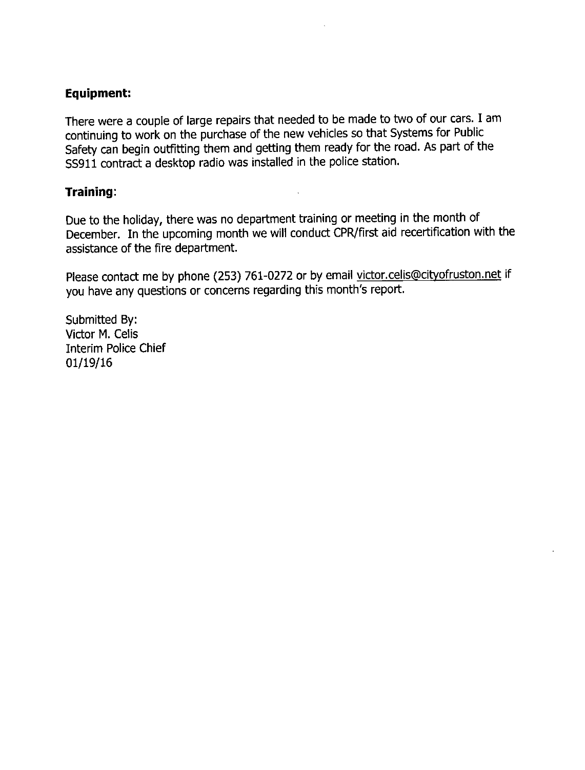# **Equipment:**

There were a couple of large repairs that needed to be made to two of our cars. I am continuing to work on the purchase of the new vehicles so that Systems for Public Safety can begin outfitting them and getting them ready for the road. As part of the SS911 contract a desktop radio was installed in the police station.

# Training:

Due to the holiday, there was no department training or meeting in the month of December. In the upcoming month we will conduct CPR/first aid recertification with the assistance of the fire department.

Please contact me by phone (253) 761-0272 or by email victor.celis@cityofruston.net if you have any questions or concerns regarding this month's report.

Submitted By: Victor M. Celis **Interim Police Chief** 01/19/16